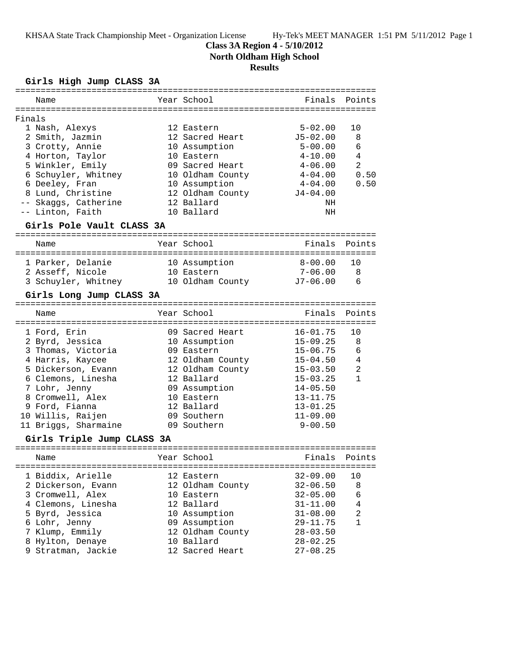KHSAA State Track Championship Meet - Organization License Hy-Tek's MEET MANAGER 1:51 PM 5/11/2012 Page 1

## **Class 3A Region 4 - 5/10/2012**

**North Oldham High School**

## **Results**

**Girls High Jump CLASS 3A**

|        | Name                                 |  | Year School              | Finals                       | Points         |  |  |  |
|--------|--------------------------------------|--|--------------------------|------------------------------|----------------|--|--|--|
| Finals |                                      |  |                          |                              |                |  |  |  |
|        | 1 Nash, Alexys                       |  | 12 Eastern               | $5 - 02.00$                  | 10             |  |  |  |
|        | 2 Smith, Jazmin                      |  | 12 Sacred Heart          | $J5 - 02.00$                 | 8              |  |  |  |
|        | 3 Crotty, Annie                      |  | 10 Assumption            | $5 - 00.00$                  | 6              |  |  |  |
|        | 4 Horton, Taylor                     |  | 10 Eastern               | $4 - 10.00$                  | 4              |  |  |  |
|        | 5 Winkler, Emily                     |  | 09 Sacred Heart          | $4 - 06.00$                  | 2              |  |  |  |
|        | 6 Schuyler, Whitney                  |  | 10 Oldham County         | $4 - 04.00$                  | 0.50           |  |  |  |
|        | 6 Deeley, Fran                       |  | 10 Assumption            | $4 - 04.00$                  | 0.50           |  |  |  |
|        | 8 Lund, Christine                    |  | 12 Oldham County         | $J4 - 04.00$                 |                |  |  |  |
|        | -- Skaggs, Catherine                 |  | 12 Ballard               | NH                           |                |  |  |  |
|        | -- Linton, Faith                     |  | 10 Ballard               | NH                           |                |  |  |  |
|        | Girls Pole Vault CLASS 3A            |  |                          |                              |                |  |  |  |
|        | Name                                 |  | Year School              | Finals                       | Points         |  |  |  |
|        |                                      |  |                          |                              |                |  |  |  |
|        | 1 Parker, Delanie                    |  | 10 Assumption            | 8-00.00                      | 10             |  |  |  |
|        | 2 Asseff, Nicole                     |  | 10 Eastern               | $7 - 06.00$                  | 8              |  |  |  |
|        | 3 Schuyler, Whitney 10 Oldham County |  |                          | $J7 - 06.00$                 | - 6            |  |  |  |
|        | Girls Long Jump CLASS 3A             |  |                          |                              |                |  |  |  |
|        |                                      |  |                          |                              |                |  |  |  |
|        | Name                                 |  | Year School              | Finals                       | Points         |  |  |  |
|        |                                      |  |                          |                              |                |  |  |  |
|        | 1 Ford, Erin                         |  | 09 Sacred Heart          | $16 - 01.75$                 | 10             |  |  |  |
|        | 2 Byrd, Jessica                      |  | 10 Assumption            | $15 - 09.25$                 | 8              |  |  |  |
|        | 3 Thomas, Victoria                   |  | 09 Eastern               | $15 - 06.75$                 | 6              |  |  |  |
|        | 4 Harris, Kaycee                     |  | 12 Oldham County         | $15 - 04.50$                 | $\overline{4}$ |  |  |  |
|        | 5 Dickerson, Evann                   |  | 12 Oldham County         | $15 - 03.50$                 | 2              |  |  |  |
|        | 6 Clemons, Linesha                   |  | 12 Ballard               | $15 - 03.25$                 | $\mathbf{1}$   |  |  |  |
|        | 7 Lohr, Jenny                        |  | 09 Assumption            | $14 - 05.50$                 |                |  |  |  |
|        | 8 Cromwell, Alex                     |  | 10 Eastern<br>12 Ballard | $13 - 11.75$                 |                |  |  |  |
|        | 9 Ford, Fianna<br>10 Willis, Raijen  |  | 09 Southern              | $13 - 01.25$<br>$11 - 09.00$ |                |  |  |  |
|        | 11 Briggs, Sharmaine                 |  | 09 Southern              | $9 - 00.50$                  |                |  |  |  |
|        |                                      |  |                          |                              |                |  |  |  |
|        | Girls Triple Jump CLASS 3A           |  |                          |                              |                |  |  |  |
|        | Name                                 |  | Year School              | Finals                       | Points         |  |  |  |
|        | 1 Biddix, Arielle                    |  | 12 Eastern               | $32 - 09.00$                 | 10             |  |  |  |
|        | 2 Dickerson, Evann                   |  | 12 Oldham County         | $32 - 06.50$                 | 8              |  |  |  |
|        | 3 Cromwell, Alex                     |  | 10 Eastern               | $32 - 05.00$                 | 6              |  |  |  |
|        | 4 Clemons, Linesha                   |  | 12 Ballard               | $31 - 11.00$                 | 4              |  |  |  |
|        | 5 Byrd, Jessica                      |  | 10 Assumption            | $31 - 08.00$                 | 2              |  |  |  |
|        | 6 Lohr, Jenny                        |  | 09 Assumption            | $29 - 11.75$                 | $\mathbf{1}$   |  |  |  |
|        | 7 Klump, Emmily                      |  | 12 Oldham County         | $28 - 03.50$                 |                |  |  |  |
|        | 8 Hylton, Denaye                     |  | 10 Ballard               | $28 - 02.25$                 |                |  |  |  |
|        | 9 Stratman, Jackie                   |  | 12 Sacred Heart          | $27 - 08.25$                 |                |  |  |  |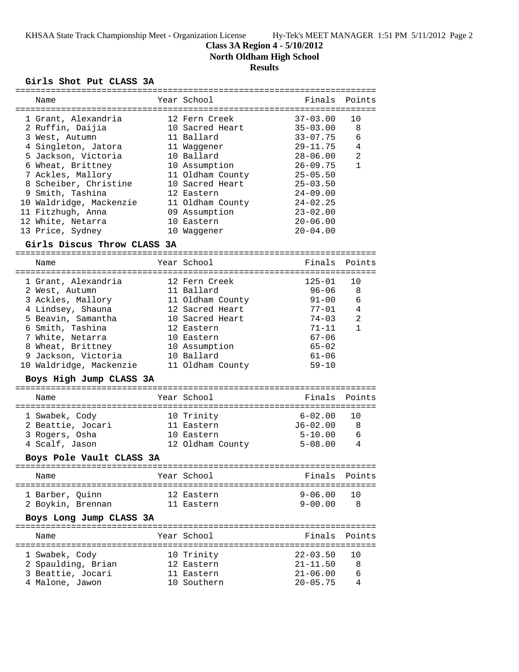KHSAA State Track Championship Meet - Organization License Hy-Tek's MEET MANAGER 1:51 PM 5/11/2012 Page 2

**Class 3A Region 4 - 5/10/2012**

**North Oldham High School**

# **Results**

### **Girls Shot Put CLASS 3A**

|                          | Name                                       |  | Year School                          | Finals                       | Points       |  |  |  |
|--------------------------|--------------------------------------------|--|--------------------------------------|------------------------------|--------------|--|--|--|
|                          |                                            |  |                                      |                              |              |  |  |  |
|                          | 1 Grant, Alexandria                        |  | 12 Fern Creek                        | $37 - 03.00$                 | 10           |  |  |  |
|                          | 2 Ruffin, Daijia                           |  | 10 Sacred Heart<br>11 Ballard        | $35 - 03.00$<br>$33 - 07.75$ | 8<br>6       |  |  |  |
|                          | 3 West, Autumn                             |  |                                      | $29 - 11.75$                 | 4            |  |  |  |
|                          | 4 Singleton, Jatora<br>5 Jackson, Victoria |  | 11 Waggener<br>10 Ballard            | $28 - 06.00$                 | 2            |  |  |  |
|                          |                                            |  |                                      |                              | $\mathbf{1}$ |  |  |  |
|                          | 6 Wheat, Brittney                          |  | 10 Assumption                        | $26 - 09.75$                 |              |  |  |  |
|                          | 7 Ackles, Mallory                          |  | 11 Oldham County<br>10 Sacred Heart  | $25 - 05.50$<br>$25 - 03.50$ |              |  |  |  |
|                          | 8 Scheiber, Christine<br>9 Smith, Tashina  |  | 12 Eastern                           | $24 - 09.00$                 |              |  |  |  |
|                          | 10 Waldridge, Mackenzie                    |  | 11 Oldham County                     | $24 - 02.25$                 |              |  |  |  |
|                          | 11 Fitzhugh, Anna                          |  | 09 Assumption                        | $23 - 02.00$                 |              |  |  |  |
|                          | 12 White, Netarra                          |  | 10 Eastern                           | $20 - 06.00$                 |              |  |  |  |
|                          | 13 Price, Sydney                           |  | 10 Waggener                          | $20 - 04.00$                 |              |  |  |  |
|                          |                                            |  |                                      |                              |              |  |  |  |
|                          | Girls Discus Throw CLASS 3A                |  |                                      |                              |              |  |  |  |
|                          | Name                                       |  | Year School                          | Finals                       | Points       |  |  |  |
|                          | 1 Grant, Alexandria                        |  | 12 Fern Creek                        | $125 - 01$                   | 10           |  |  |  |
|                          | 2 West, Autumn                             |  | 11 Ballard                           | 96-06                        | 8            |  |  |  |
|                          | 3 Ackles, Mallory                          |  | 11 Oldham County                     | 91-00                        | 6            |  |  |  |
|                          | 4 Lindsey, Shauna                          |  | 12 Sacred Heart                      | 77-01                        | 4            |  |  |  |
|                          | 5 Beavin, Samantha                         |  | 10 Sacred Heart                      | 74-03                        | 2            |  |  |  |
|                          | 6 Smith, Tashina                           |  | 12 Eastern                           | $71 - 11$                    | $\mathbf{1}$ |  |  |  |
|                          | 7 White, Netarra                           |  | 10 Eastern                           | $67 - 06$                    |              |  |  |  |
|                          | 8 Wheat, Brittney                          |  | 10 Assumption                        | $65 - 02$                    |              |  |  |  |
|                          | 9 Jackson, Victoria                        |  | 10 Ballard                           | $61 - 06$                    |              |  |  |  |
|                          | 10 Waldridge, Mackenzie                    |  | 11 Oldham County                     | $59 - 10$                    |              |  |  |  |
|                          | Boys High Jump CLASS 3A                    |  |                                      |                              |              |  |  |  |
|                          | Name                                       |  | Year School                          | Finals                       | Points       |  |  |  |
|                          | 1 Swabek, Cody                             |  | 10 Trinity                           | $6 - 02.00$                  | 10           |  |  |  |
|                          | 2 Beattie, Jocari                          |  | 11 Eastern                           | J6-02.00                     | 8            |  |  |  |
|                          | 3 Rogers, Osha                             |  | 10 Eastern                           | $5 - 10.00$                  | 6            |  |  |  |
|                          | 4 Scalf, Jason                             |  | 12 Oldham County                     | $5 - 08.00$                  | 4            |  |  |  |
|                          |                                            |  |                                      |                              |              |  |  |  |
| Boys Pole Vault CLASS 3A |                                            |  |                                      |                              |              |  |  |  |
|                          | Name                                       |  | Year School<br>--------------------- | Finals                       | Points       |  |  |  |
|                          | 1 Barber, Quinn                            |  | 12 Eastern                           | $9 - 06.00$                  | 10           |  |  |  |
|                          | 2 Boykin, Brennan                          |  | 11 Eastern                           | $9 - 00.00$                  | 8            |  |  |  |
|                          | Boys Long Jump CLASS 3A                    |  |                                      |                              |              |  |  |  |
|                          | Name                                       |  | Year School                          | Finals                       | Points       |  |  |  |
|                          |                                            |  | 10 Trinity                           | $22 - 03.50$                 | 10           |  |  |  |
|                          | 1 Swabek, Cody<br>2 Spaulding, Brian       |  |                                      | $21 - 11.50$                 | 8            |  |  |  |
|                          | 3 Beattie, Jocari                          |  | 12 Eastern<br>11 Eastern             | $21 - 06.00$                 | 6            |  |  |  |
|                          |                                            |  | 10 Southern                          | $20 - 05.75$                 | 4            |  |  |  |
|                          | 4 Malone, Jawon                            |  |                                      |                              |              |  |  |  |